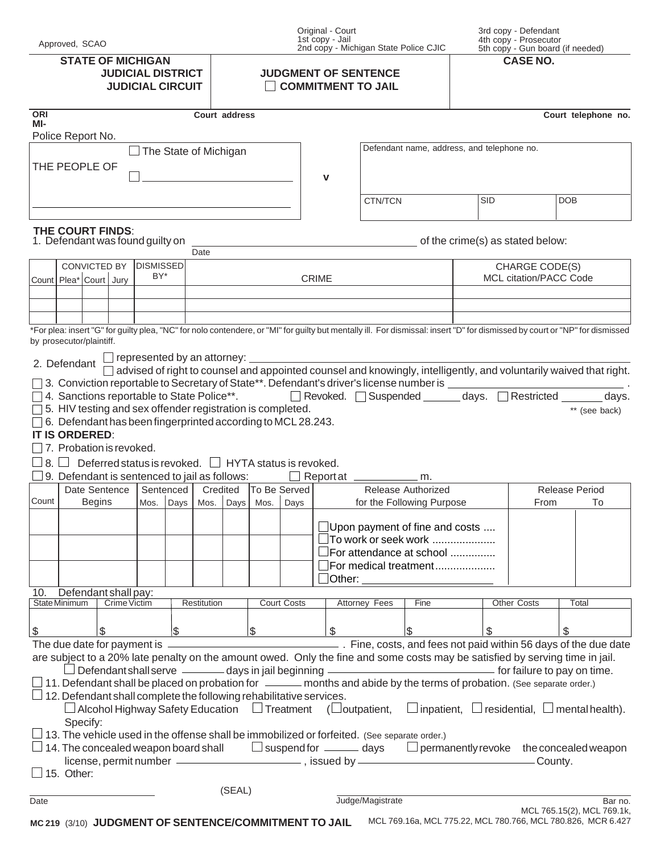| Approved, SCAO                                                                                                                                                                                                                                                                                                                                                                                                                                                                                           |                                                                                 | Original - Court<br>1st copy - Jail<br>2nd copy - Michigan State Police CJIC |                                                                                                     | 3rd copy - Defendant<br>4th copy - Prosecutor<br>5th copy - Gun board (if needed) |                                          |                                     |  |
|----------------------------------------------------------------------------------------------------------------------------------------------------------------------------------------------------------------------------------------------------------------------------------------------------------------------------------------------------------------------------------------------------------------------------------------------------------------------------------------------------------|---------------------------------------------------------------------------------|------------------------------------------------------------------------------|-----------------------------------------------------------------------------------------------------|-----------------------------------------------------------------------------------|------------------------------------------|-------------------------------------|--|
| <b>STATE OF MICHIGAN</b><br><b>JUDICIAL DISTRICT</b><br><b>JUDICIAL CIRCUIT</b>                                                                                                                                                                                                                                                                                                                                                                                                                          |                                                                                 | <b>JUDGMENT OF SENTENCE</b><br><b>COMMITMENT TO JAIL</b>                     |                                                                                                     |                                                                                   | <b>CASE NO.</b>                          |                                     |  |
| ORI<br>MI-                                                                                                                                                                                                                                                                                                                                                                                                                                                                                               | Court address                                                                   |                                                                              |                                                                                                     |                                                                                   |                                          | Court telephone no.                 |  |
| Police Report No.<br>The State of Michigan                                                                                                                                                                                                                                                                                                                                                                                                                                                               |                                                                                 |                                                                              | Defendant name, address, and telephone no.                                                          |                                                                                   |                                          |                                     |  |
| THE PEOPLE OF                                                                                                                                                                                                                                                                                                                                                                                                                                                                                            |                                                                                 | $\mathbf v$                                                                  |                                                                                                     |                                                                                   |                                          |                                     |  |
|                                                                                                                                                                                                                                                                                                                                                                                                                                                                                                          |                                                                                 |                                                                              | CTN/TCN                                                                                             | <b>SID</b>                                                                        |                                          | <b>DOB</b>                          |  |
| THE COURT FINDS:<br>1. Defendant was found guilty on<br>Date                                                                                                                                                                                                                                                                                                                                                                                                                                             |                                                                                 | of the crime(s) as stated below:                                             |                                                                                                     |                                                                                   |                                          |                                     |  |
| CONVICTED BY DISMISSED<br>BY*<br>Count Plea* Court Jury                                                                                                                                                                                                                                                                                                                                                                                                                                                  |                                                                                 | <b>CRIME</b>                                                                 |                                                                                                     |                                                                                   | CHARGE CODE(S)<br>MCL citation/PACC Code |                                     |  |
|                                                                                                                                                                                                                                                                                                                                                                                                                                                                                                          |                                                                                 |                                                                              |                                                                                                     |                                                                                   |                                          |                                     |  |
| *For plea: insert "G" for guilty plea, "NC" for nolo contendere, or "MI" for guilty but mentally ill. For dismissal: insert "D" for dismissed by court or "NP" for dismissed<br>by prosecutor/plaintiff.                                                                                                                                                                                                                                                                                                 |                                                                                 |                                                                              |                                                                                                     |                                                                                   |                                          |                                     |  |
| $\Box$ represented by an attorney: $\_\_$<br>2. Defendant $\frac{1}{r}$<br>advised of right to counsel and appointed counsel and knowingly, intelligently, and voluntarily waived that right.<br>4. Sanctions reportable to State Police**.<br>The Revoked.<br>Suspended  2012<br>2023.  The Stricted  2022.  2023.  The Stricted  2023.  The Stricted  2023.  The Stricted  2023.  The Stricted State Police**.<br>days.<br>5. HIV testing and sex offender registration is completed.<br>** (see back) |                                                                                 |                                                                              |                                                                                                     |                                                                                   |                                          |                                     |  |
| 6. Defendant has been fingerprinted according to MCL 28.243.<br>IT IS ORDERED:<br>7. Probation is revoked.                                                                                                                                                                                                                                                                                                                                                                                               |                                                                                 |                                                                              |                                                                                                     |                                                                                   |                                          |                                     |  |
| Deferred status is revoked. $\Box$ HYTA status is revoked.<br>$8. \Box$<br>9. Defendant is sentenced to jail as follows: $\Box$ Report at $\Box$ m.                                                                                                                                                                                                                                                                                                                                                      |                                                                                 |                                                                              |                                                                                                     |                                                                                   |                                          |                                     |  |
| Date Sentence<br>Count<br><b>Begins</b>                                                                                                                                                                                                                                                                                                                                                                                                                                                                  | Sentenced   Credited   To Be Served  <br> Mos.  Days   Mos.  Days   Mos.   Days |                                                                              | Release Authorized<br>for the Following Purpose                                                     |                                                                                   |                                          | <b>Release Period</b><br>To<br>From |  |
|                                                                                                                                                                                                                                                                                                                                                                                                                                                                                                          |                                                                                 |                                                                              | $\Box$ Upon payment of fine and costs<br>$\exists$ To work or seek work<br>For attendance at school |                                                                                   |                                          |                                     |  |
|                                                                                                                                                                                                                                                                                                                                                                                                                                                                                                          |                                                                                 |                                                                              | For medical treatment<br>□ Other: ________________________                                          |                                                                                   |                                          |                                     |  |
| Defendant shall pay:<br>10.<br>State Minimum<br><b>Crime Victim</b><br>Restitution                                                                                                                                                                                                                                                                                                                                                                                                                       | <b>Court Costs</b>                                                              | <b>Attorney Fees</b>                                                         | Fine                                                                                                |                                                                                   | <b>Other Costs</b>                       | Total                               |  |
| $\mathfrak{S}$<br>$\begin{array}{ c c c }\n\hline\n\text{S} & \text{---} & \text{---} \\ \hline\n\end{array}$<br>$\frac{1}{2}$                                                                                                                                                                                                                                                                                                                                                                           | $\vert \mathsf{s} \vert$                                                        | $\mathfrak{S}$                                                               | $\sqrt{3}$                                                                                          | \$                                                                                |                                          | \$                                  |  |
| are subject to a 20% late penalty on the amount owed. Only the fine and some costs may be satisfied by serving time in jail.<br>$\Box$ 11. Defendant shall be placed on probation for $\_\_\_\_\$ months and abide by the terms of probation. (See separate order.)                                                                                                                                                                                                                                      |                                                                                 |                                                                              |                                                                                                     |                                                                                   |                                          |                                     |  |
| $\Box$ 12. Defendant shall complete the following rehabilitative services.<br>$\Box$ Alcohol Highway Safety Education $\Box$ Treatment ( $\Box$ outpatient, $\Box$ inpatient, $\Box$ residential, $\Box$ mental health).<br>Specify:                                                                                                                                                                                                                                                                     |                                                                                 |                                                                              |                                                                                                     |                                                                                   |                                          |                                     |  |
| 13. The vehicle used in the offense shall be immobilized or forfeited. (See separate order.)<br>$\Box$ 14. The concealed weapon board shall $\qquad \qquad \Box$ suspend for $\qquad \qquad \Box$ permanently revoke $\qquad$ the concealed weapon<br>license, permit number <u>entitled</u> , issued by entitled by entitled by entitled by entitled by entitled by entitled by<br>15. Other:                                                                                                           |                                                                                 |                                                                              |                                                                                                     |                                                                                   |                                          |                                     |  |
| Date                                                                                                                                                                                                                                                                                                                                                                                                                                                                                                     | (SEAL)                                                                          | Judge/Magistrate                                                             |                                                                                                     |                                                                                   |                                          | Bar no.                             |  |
|                                                                                                                                                                                                                                                                                                                                                                                                                                                                                                          |                                                                                 |                                                                              |                                                                                                     |                                                                                   |                                          | MCL 765.15(2), MCL 769.1k,          |  |

**MC 219** (3/10) **JUDGMENT OF SENTENCE/COMMITMENT TO JAIL**